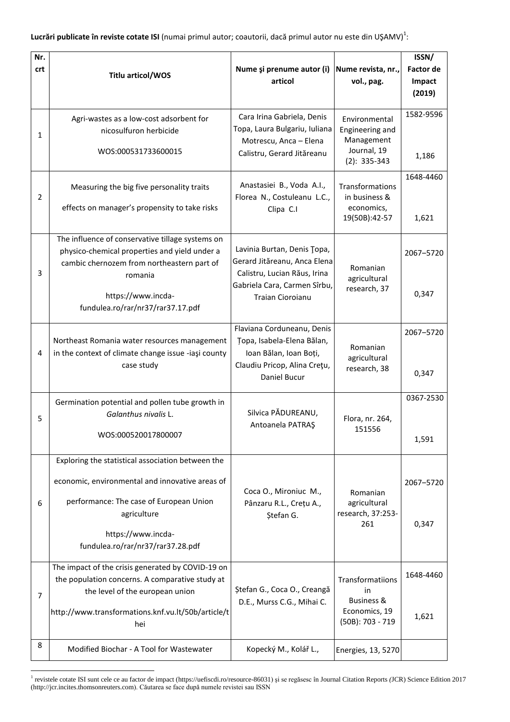**Lucrări publicate în reviste cotate ISI** (numai primul autor; coautorii, dacă primul autor nu este din UŞAMV)<sup>1</sup>:

| Nr.            |                                                                                                                                                            |                                                                                                                             |                                                                                      | ISSN/                      |
|----------------|------------------------------------------------------------------------------------------------------------------------------------------------------------|-----------------------------------------------------------------------------------------------------------------------------|--------------------------------------------------------------------------------------|----------------------------|
| crt            | Titlu articol/WOS                                                                                                                                          | Nume și prenume autor (i)<br>articol                                                                                        | Nume revista, nr.,<br>vol., pag.                                                     | <b>Factor de</b><br>Impact |
|                |                                                                                                                                                            |                                                                                                                             |                                                                                      | (2019)                     |
| 1              | Agri-wastes as a low-cost adsorbent for<br>nicosulfuron herbicide<br>WOS:000531733600015                                                                   | Cara Irina Gabriela, Denis<br>Topa, Laura Bulgariu, Iuliana<br>Motrescu, Anca - Elena<br>Calistru, Gerard Jităreanu         | Environmental<br>Engineering and<br>Management<br>Journal, 19                        | 1582-9596                  |
|                |                                                                                                                                                            |                                                                                                                             | $(2): 335-343$                                                                       | 1,186<br>1648-4460         |
| 2              | Measuring the big five personality traits<br>effects on manager's propensity to take risks                                                                 | Anastasiei B., Voda A.I.,<br>Florea N., Costuleanu L.C.,<br>Clipa C.I                                                       | Transformations<br>in business &<br>economics,<br>19(50B):42-57                      | 1,621                      |
|                |                                                                                                                                                            |                                                                                                                             |                                                                                      |                            |
| 3              | The influence of conservative tillage systems on<br>physico-chemical properties and yield under a<br>cambic chernozem from northeastern part of<br>romania | Lavinia Burtan, Denis Topa,<br>Gerard Jităreanu, Anca Elena<br>Calistru, Lucian Răus, Irina<br>Gabriela Cara, Carmen Sîrbu, | Romanian<br>agricultural<br>research, 37                                             | 2067-5720                  |
|                | https://www.incda-<br>fundulea.ro/rar/nr37/rar37.17.pdf                                                                                                    | Traian Cioroianu                                                                                                            |                                                                                      | 0,347                      |
| 4              | Northeast Romania water resources management<br>in the context of climate change issue -iasi county<br>case study                                          | Flaviana Corduneanu, Denis<br>Țopa, Isabela-Elena Bălan,<br>Ioan Bălan, Ioan Boți,<br>Claudiu Pricop, Alina Crețu,          | Romanian<br>agricultural                                                             | 2067-5720                  |
|                |                                                                                                                                                            | Daniel Bucur                                                                                                                | research, 38                                                                         | 0,347                      |
| 5              | Germination potential and pollen tube growth in<br>Galanthus nivalis L.                                                                                    | Silvica PĂDUREANU,<br>Antoanela PATRAŞ                                                                                      | Flora, nr. 264,<br>151556                                                            | 0367-2530                  |
|                | WOS:000520017800007                                                                                                                                        |                                                                                                                             |                                                                                      | 1,591                      |
|                | Exploring the statistical association between the                                                                                                          |                                                                                                                             |                                                                                      |                            |
| 6              | economic, environmental and innovative areas of                                                                                                            | Coca O., Mironiuc M.,<br>Pânzaru R.L., Crețu A.,<br>Ștefan G.                                                               | Romanian<br>agricultural<br>research, 37:253-<br>261                                 | 2067-5720                  |
|                | performance: The case of European Union<br>agriculture<br>https://www.incda-                                                                               |                                                                                                                             |                                                                                      | 0,347                      |
|                | fundulea.ro/rar/nr37/rar37.28.pdf                                                                                                                          |                                                                                                                             |                                                                                      |                            |
| $\overline{7}$ | The impact of the crisis generated by COVID-19 on<br>the population concerns. A comparative study at<br>the level of the european union                    | Ștefan G., Coca O., Creangă<br>D.E., Murss C.G., Mihai C.                                                                   | Transformatiions<br>in<br><b>Business &amp;</b><br>Economics, 19<br>(50B): 703 - 719 | 1648-4460                  |
|                | http://www.transformations.knf.vu.lt/50b/article/t<br>hei                                                                                                  |                                                                                                                             |                                                                                      | 1,621                      |
| 8              | Modified Biochar - A Tool for Wastewater                                                                                                                   | Kopecký M., Kolář L.,                                                                                                       | Energies, 13, 5270                                                                   |                            |

<sup>1</sup> revistele cotate ISI sunt cele ce au factor de impact (https://uefiscdi.ro/resource-86031) şi se regăsesc în Journal Citation Reports *(*JCR) Science Edition 2017 (http://jcr.incites.thomsonreuters.com). Căutarea se face după numele revistei sau ISSN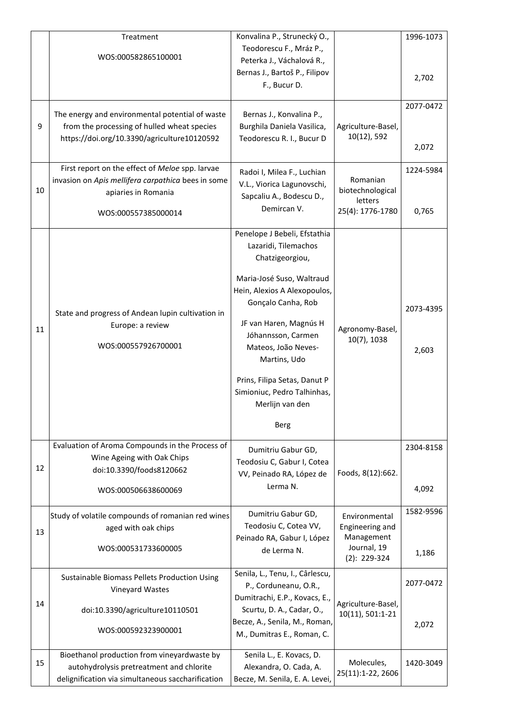|    | Treatment<br>WOS:000582865100001                                                                                                                    | Konvalina P., Strunecký O.,<br>Teodorescu F., Mráz P.,<br>Peterka J., Váchalová R.,<br>Bernas J., Bartoš P., Filipov<br>F., Bucur D.                                                                                                                                                                                                        |                                                                                 | 1996-1073<br>2,702 |
|----|-----------------------------------------------------------------------------------------------------------------------------------------------------|---------------------------------------------------------------------------------------------------------------------------------------------------------------------------------------------------------------------------------------------------------------------------------------------------------------------------------------------|---------------------------------------------------------------------------------|--------------------|
| 9  | The energy and environmental potential of waste<br>from the processing of hulled wheat species<br>https://doi.org/10.3390/agriculture10120592       | Bernas J., Konvalina P.,<br>Burghila Daniela Vasilica,<br>Teodorescu R. I., Bucur D                                                                                                                                                                                                                                                         | Agriculture-Basel,<br>10(12), 592                                               | 2077-0472<br>2,072 |
| 10 | First report on the effect of Meloe spp. larvae<br>invasion on Apis mellifera carpathica bees in some<br>apiaries in Romania<br>WOS:000557385000014 | Radoi I, Milea F., Luchian<br>V.L., Viorica Lagunovschi,<br>Sapcaliu A., Bodescu D.,<br>Demircan V.                                                                                                                                                                                                                                         | Romanian<br>biotechnological<br>letters<br>25(4): 1776-1780                     | 1224-5984<br>0,765 |
| 11 | State and progress of Andean lupin cultivation in<br>Europe: a review<br>WOS:000557926700001                                                        | Penelope J Bebeli, Efstathia<br>Lazaridi, Tilemachos<br>Chatzigeorgiou,<br>Maria-José Suso, Waltraud<br>Hein, Alexios A Alexopoulos,<br>Gonçalo Canha, Rob<br>JF van Haren, Magnús H<br>Jóhannsson, Carmen<br>Mateos, João Neves-<br>Martins, Udo<br>Prins, Filipa Setas, Danut P<br>Simioniuc, Pedro Talhinhas,<br>Merlijn van den<br>Berg | Agronomy-Basel,<br>10(7), 1038                                                  | 2073-4395<br>2,603 |
| 12 | Evaluation of Aroma Compounds in the Process of<br>Wine Ageing with Oak Chips<br>doi:10.3390/foods8120662<br>WOS:000506638600069                    | Dumitriu Gabur GD,<br>Teodosiu C, Gabur I, Cotea<br>VV, Peinado RA, López de<br>Lerma N.                                                                                                                                                                                                                                                    | Foods, 8(12):662.                                                               | 2304-8158<br>4,092 |
| 13 | Study of volatile compounds of romanian red wines<br>aged with oak chips<br>WOS:000531733600005                                                     | Dumitriu Gabur GD,<br>Teodosiu C, Cotea VV,<br>Peinado RA, Gabur I, López<br>de Lerma N.                                                                                                                                                                                                                                                    | Environmental<br>Engineering and<br>Management<br>Journal, 19<br>$(2): 229-324$ | 1582-9596<br>1,186 |
| 14 | Sustainable Biomass Pellets Production Using<br>Vineyard Wastes<br>doi:10.3390/agriculture10110501<br>WOS:000592323900001                           | Senila, L., Tenu, I., Cârlescu,<br>P., Corduneanu, O.R.,<br>Dumitrachi, E.P., Kovacs, E.,<br>Scurtu, D. A., Cadar, O.,<br>Becze, A., Senila, M., Roman,<br>M., Dumitras E., Roman, C.                                                                                                                                                       | Agriculture-Basel,<br>10(11), 501:1-21                                          | 2077-0472<br>2,072 |
| 15 | Bioethanol production from vineyardwaste by<br>autohydrolysis pretreatment and chlorite<br>delignification via simultaneous saccharification        | Senila L., E. Kovacs, D.<br>Alexandra, O. Cada, A.<br>Becze, M. Senila, E. A. Levei,                                                                                                                                                                                                                                                        | Molecules,<br>25(11):1-22, 2606                                                 | 1420-3049          |